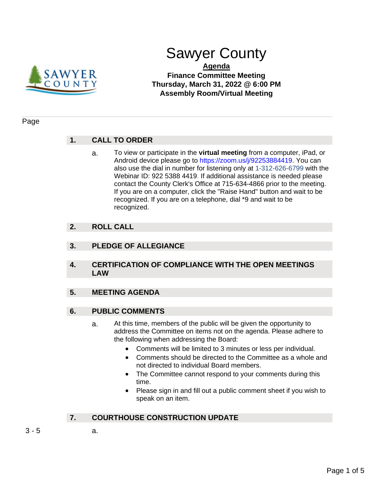

# Sawyer County

#### **Agenda Finance Committee Meeting Thursday, March 31, 2022 @ 6:00 PM Assembly Room/Virtual Meeting**

#### Page

# **1. CALL TO ORDER**

a. To view or participate in the **virtual meeting** from a computer, iPad, or Android device please go to https://zoom.us/j/92253884419. You can also use the dial in number for listening only at 1-312-626-6799 with the Webinar ID: 922 5388 4419. If additional assistance is needed please contact the County Clerk's Office at 715-634-4866 prior to the meeting. If you are on a computer, click the "Raise Hand" button and wait to be recognized. If you are on a telephone, dial \*9 and wait to be recognized.

## **2. ROLL CALL**

- **3. PLEDGE OF ALLEGIANCE**
- **4. CERTIFICATION OF COMPLIANCE WITH THE OPEN MEETINGS LAW**

## **5. MEETING AGENDA**

#### **6. PUBLIC COMMENTS**

- a. At this time, members of the public will be given the opportunity to address the Committee on items not on the agenda. Please adhere to the following when addressing the Board:
	- Comments will be limited to 3 minutes or less per individual.
	- Comments should be directed to the Committee as a whole and not directed to individual Board members.
	- The Committee cannot respond to your comments during this time.
	- Please sign in and fill out a public comment sheet if you wish to speak on an item.

# **7. COURTHOUSE CONSTRUCTION UPDATE**

- $3 5$  a.
	-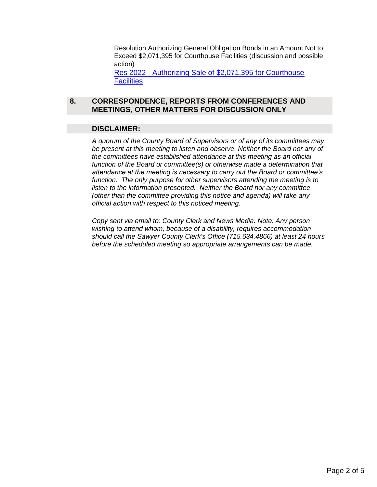Resolution Authorizing General Obligation Bonds in an Amount Not to Exceed \$2,071,395 for Courthouse Facilities (discussion and possible action) Res 2022 - [Authorizing Sale of \\$2,071,395 for Courthouse](#page-2-0)  **[Facilities](#page-2-0)** 

#### **8. CORRESPONDENCE, REPORTS FROM CONFERENCES AND MEETINGS, OTHER MATTERS FOR DISCUSSION ONLY**

#### **DISCLAIMER:**

*A quorum of the County Board of Supervisors or of any of its committees may be present at this meeting to listen and observe. Neither the Board nor any of the committees have established attendance at this meeting as an official function of the Board or committee(s) or otherwise made a determination that attendance at the meeting is necessary to carry out the Board or committee's function. The only purpose for other supervisors attending the meeting is to listen to the information presented. Neither the Board nor any committee (other than the committee providing this notice and agenda) will take any official action with respect to this noticed meeting.*

*Copy sent via email to: County Clerk and News Media. Note: Any person wishing to attend whom, because of a disability, requires accommodation should call the Sawyer County Clerk's Office (715.634.4866) at least 24 hours before the scheduled meeting so appropriate arrangements can be made.*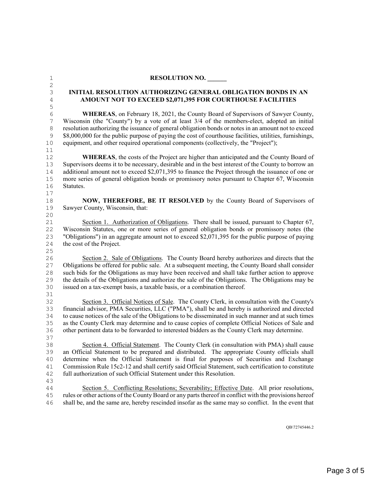<span id="page-2-0"></span>

| $\mathbf 1$    | <b>RESOLUTION NO.</b>                                                                                   |  |  |
|----------------|---------------------------------------------------------------------------------------------------------|--|--|
| $\mathbf{2}$   |                                                                                                         |  |  |
| $\mathsf 3$    | <b>INITIAL RESOLUTION AUTHORIZING GENERAL OBLIGATION BONDS IN AN</b>                                    |  |  |
| $\overline{4}$ | AMOUNT NOT TO EXCEED \$2,071,395 FOR COURTHOUSE FACILITIES                                              |  |  |
| 5              |                                                                                                         |  |  |
| $\sqrt{6}$     | <b>WHEREAS</b> , on February 18, 2021, the County Board of Supervisors of Sawyer County,                |  |  |
| $\overline{7}$ | Wisconsin (the "County") by a vote of at least 3/4 of the members-elect, adopted an initial             |  |  |
| $\,8\,$        | resolution authorizing the issuance of general obligation bonds or notes in an amount not to exceed     |  |  |
| 9              | \$8,000,000 for the public purpose of paying the cost of courthouse facilities, utilities, furnishings, |  |  |
| 10             | equipment, and other required operational components (collectively, the "Project");                     |  |  |
| 11             |                                                                                                         |  |  |
| 12             | <b>WHEREAS</b> , the costs of the Project are higher than anticipated and the County Board of           |  |  |
| 13             | Supervisors deems it to be necessary, desirable and in the best interest of the County to borrow an     |  |  |
| 14             | additional amount not to exceed \$2,071,395 to finance the Project through the issuance of one or       |  |  |
| $15\,$         | more series of general obligation bonds or promissory notes pursuant to Chapter 67, Wisconsin           |  |  |
| 16             | Statutes.                                                                                               |  |  |
| 17             |                                                                                                         |  |  |
| 18             | NOW, THEREFORE, BE IT RESOLVED by the County Board of Supervisors of                                    |  |  |
| 19             | Sawyer County, Wisconsin, that:                                                                         |  |  |
| 20             |                                                                                                         |  |  |
| 21             | Section 1. Authorization of Obligations. There shall be issued, pursuant to Chapter 67,                 |  |  |
| 22             | Wisconsin Statutes, one or more series of general obligation bonds or promissory notes (the             |  |  |
| 23             | "Obligations") in an aggregate amount not to exceed \$2,071,395 for the public purpose of paying        |  |  |
| 24             | the cost of the Project.                                                                                |  |  |
| 25             |                                                                                                         |  |  |
| 26             | Section 2. Sale of Obligations. The County Board hereby authorizes and directs that the                 |  |  |
| 27             | Obligations be offered for public sale. At a subsequent meeting, the County Board shall consider        |  |  |
| 28             | such bids for the Obligations as may have been received and shall take further action to approve        |  |  |
| 29             | the details of the Obligations and authorize the sale of the Obligations. The Obligations may be        |  |  |
| 30             | issued on a tax-exempt basis, a taxable basis, or a combination thereof.                                |  |  |
| 31             |                                                                                                         |  |  |
| 32             | Section 3. Official Notices of Sale. The County Clerk, in consultation with the County's                |  |  |
| 33             | financial advisor, PMA Securities, LLC ("PMA"), shall be and hereby is authorized and directed          |  |  |
| 34             | to cause notices of the sale of the Obligations to be disseminated in such manner and at such times     |  |  |
| 35             | as the County Clerk may determine and to cause copies of complete Official Notices of Sale and          |  |  |
| 36             | other pertinent data to be forwarded to interested bidders as the County Clerk may determine.           |  |  |
| 37             |                                                                                                         |  |  |
| 38             | Section 4. Official Statement. The County Clerk (in consultation with PMA) shall cause                  |  |  |
| 39             | an Official Statement to be prepared and distributed. The appropriate County officials shall            |  |  |
| 40             | determine when the Official Statement is final for purposes of Securities and Exchange                  |  |  |
| 41             | Commission Rule 15c2-12 and shall certify said Official Statement, such certification to constitute     |  |  |
| 42             | full authorization of such Official Statement under this Resolution.                                    |  |  |
| 43             |                                                                                                         |  |  |
| 44             | Section 5. Conflicting Resolutions; Severability; Effective Date. All prior resolutions,                |  |  |
| 45             | rules or other actions of the County Board or any parts thereof in conflict with the provisions hereof  |  |  |
| 46             | shall be, and the same are, hereby rescinded insofar as the same may so conflict. In the event that     |  |  |

QB\72745446.2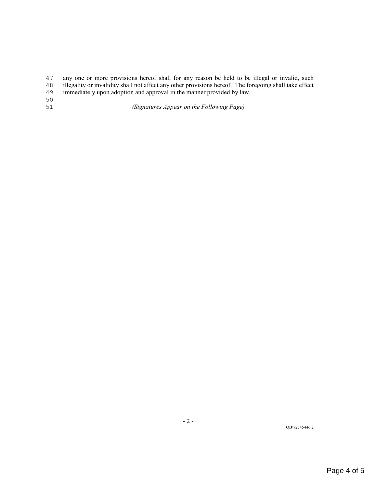47 any one or more provisions hereof shall for any reason be held to be illegal or invalid, such illegality or invalidity shall not affect any other provisions hereof. The foregoing shall take effect

- 48 illegality or invalidity shall not affect any other provisions hereof. The foregoing shall take effect immediately upon adoption and approval in the manner provided by law.
- immediately upon adoption and approval in the manner provided by law.
- 50<br>51

51 *(Signatures Appear on the Following Page)*

QB\72745446.2